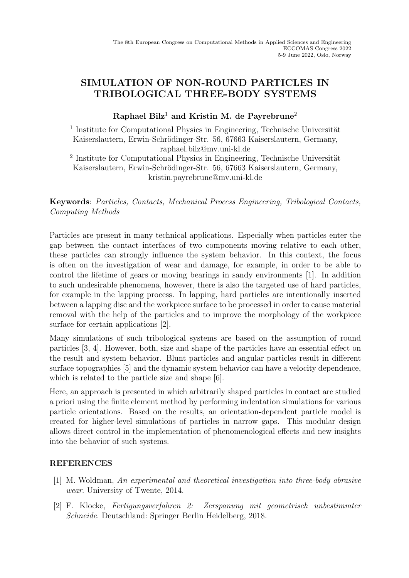## SIMULATION OF NON-ROUND PARTICLES IN TRIBOLOGICAL THREE-BODY SYSTEMS

## Raphael Bilz<sup>1</sup> and Kristin M. de Payrebrune<sup>2</sup>

<sup>1</sup> Institute for Computational Physics in Engineering, Technische Universität Kaiserslautern, Erwin-Schrödinger-Str. 56, 67663 Kaiserslautern, Germany, raphael.bilz@mv.uni-kl.de

<sup>2</sup> Institute for Computational Physics in Engineering, Technische Universität Kaiserslautern, Erwin-Schrödinger-Str. 56, 67663 Kaiserslautern, Germany, kristin.payrebrune@mv.uni-kl.de

Keywords: Particles, Contacts, Mechanical Process Engineering, Tribological Contacts, Computing Methods

Particles are present in many technical applications. Especially when particles enter the gap between the contact interfaces of two components moving relative to each other, these particles can strongly influence the system behavior. In this context, the focus is often on the investigation of wear and damage, for example, in order to be able to control the lifetime of gears or moving bearings in sandy environments [1]. In addition to such undesirable phenomena, however, there is also the targeted use of hard particles, for example in the lapping process. In lapping, hard particles are intentionally inserted between a lapping disc and the workpiece surface to be processed in order to cause material removal with the help of the particles and to improve the morphology of the workpiece surface for certain applications [2].

Many simulations of such tribological systems are based on the assumption of round particles [3, 4]. However, both, size and shape of the particles have an essential effect on the result and system behavior. Blunt particles and angular particles result in different surface topographies [5] and the dynamic system behavior can have a velocity dependence, which is related to the particle size and shape [6].

Here, an approach is presented in which arbitrarily shaped particles in contact are studied a priori using the finite element method by performing indentation simulations for various particle orientations. Based on the results, an orientation-dependent particle model is created for higher-level simulations of particles in narrow gaps. This modular design allows direct control in the implementation of phenomenological effects and new insights into the behavior of such systems.

## REFERENCES

- [1] M. Woldman, An experimental and theoretical investigation into three-body abrasive wear. University of Twente, 2014.
- [2] F. Klocke, Fertigungsverfahren 2: Zerspanung mit geometrisch unbestimmter Schneide. Deutschland: Springer Berlin Heidelberg, 2018.